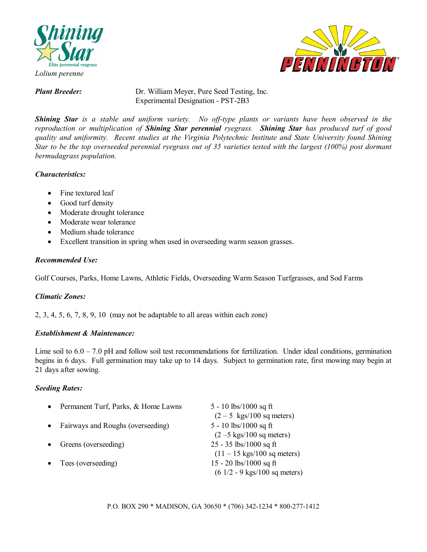



*Plant Breeder:* Dr. William Meyer, Pure Seed Testing, Inc. Experimental Designation - PST-2B3

*Shining Star is a stable and uniform variety. No off-type plants or variants have been observed in the reproduction or multiplication of Shining Star perennial ryegrass. Shining Star has produced turf of good quality and uniformity. Recent studies at the Virginia Polytechnic Institute and State University found Shining Star to be the top overseeded perennial ryegrass out of 35 varieties tested with the largest (100%) post dormant bermudagrass population.* 

## *Characteristics:*

- Fine textured leaf
- Good turf density
- Moderate drought tolerance
- Moderate wear tolerance
- Medium shade tolerance
- Excellent transition in spring when used in overseeding warm season grasses.

## *Recommended Use:*

Golf Courses, Parks, Home Lawns, Athletic Fields, Overseeding Warm Season Turfgrasses, and Sod Farms

## *Climatic Zones:*

2, 3, 4, 5, 6, 7, 8, 9, 10 (may not be adaptable to all areas within each zone)

## *Establishment & Maintenance:*

Lime soil to  $6.0 - 7.0$  pH and follow soil test recommendations for fertilization. Under ideal conditions, germination begins in 6 days. Full germination may take up to 14 days. Subject to germination rate, first mowing may begin at 21 days after sowing.

## *Seeding Rates:*

| Permanent Turf, Parks, & Home Lawns | 5 - 10 $\frac{\text{lbs}}{1000}$ sq ft           |
|-------------------------------------|--------------------------------------------------|
|                                     | $(2-5$ kgs/100 sq meters)                        |
| Fairways and Roughs (overseeding)   | 5 - 10 lbs/1000 sq ft                            |
|                                     | $(2 - 5$ kgs/100 sq meters)                      |
| Greens (overseeding)                | $25 - 35$ lbs/1000 sq ft                         |
|                                     | $(11 - 15 \text{ kgs}/100 \text{ sq meters})$    |
| Tees (overseeding)                  | 15 - 20 lbs/1000 sq ft                           |
|                                     | $(6\ 1/2 - 9\ \text{kgs}/100\ \text{sq meters})$ |